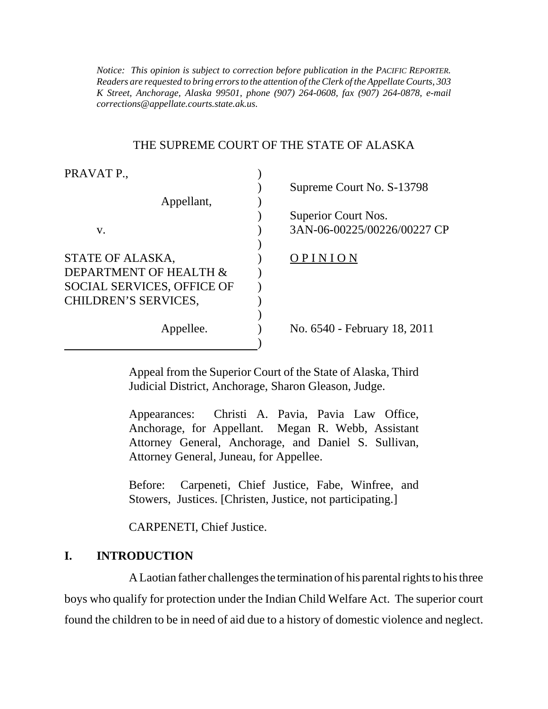*K Street, Anchorage, Alaska 99501, phone (907) 264-0608, fax (907) 264-0878, e-mail Notice: This opinion is subject to correction before publication in the PACIFIC REPORTER. Readers are requested to bring errors to the attention of the Clerk of the Appellate Courts, 303 corrections@appellate.courts.state.ak.us*.

### THE SUPREME COURT OF THE STATE OF ALASKA

| PRAVAT P.,                        |                              |
|-----------------------------------|------------------------------|
|                                   | Supreme Court No. S-13798    |
| Appellant,                        |                              |
|                                   | Superior Court Nos.          |
| V.                                | 3AN-06-00225/00226/00227 CP  |
|                                   |                              |
| STATE OF ALASKA,                  | OPINION                      |
| DEPARTMENT OF HEALTH &            |                              |
| <b>SOCIAL SERVICES, OFFICE OF</b> |                              |
| CHILDREN'S SERVICES,              |                              |
|                                   |                              |
| Appellee.                         | No. 6540 - February 18, 2011 |
|                                   |                              |

Appeal from the Superior Court of the State of Alaska, Third Judicial District, Anchorage, Sharon Gleason, Judge.

Appearances: Christi A. Pavia, Pavia Law Office, Anchorage, for Appellant. Megan R. Webb, Assistant Attorney General, Anchorage, and Daniel S. Sullivan, Attorney General, Juneau, for Appellee.

Before: Carpeneti, Chief Justice, Fabe, Winfree, and Stowers, Justices. [Christen, Justice, not participating.]

CARPENETI, Chief Justice.

### **I. INTRODUCTION**

A Laotian father challenges the termination of his parental rights to his three boys who qualify for protection under the Indian Child Welfare Act. The superior court found the children to be in need of aid due to a history of domestic violence and neglect.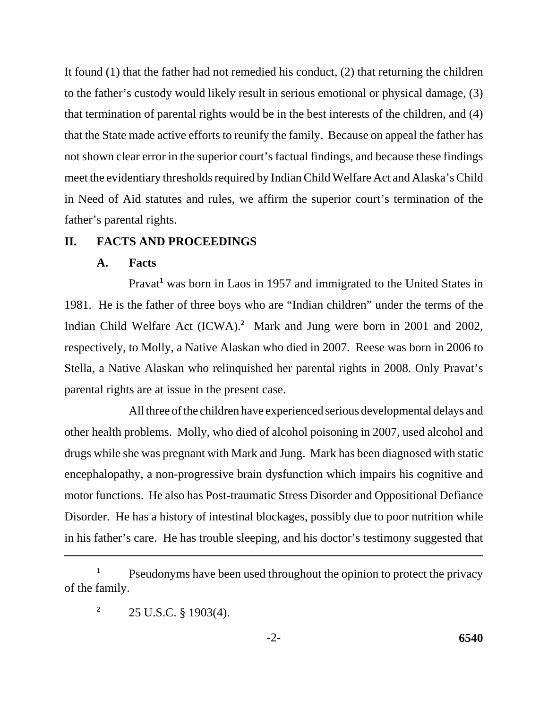It found (1) that the father had not remedied his conduct, (2) that returning the children to the father's custody would likely result in serious emotional or physical damage, (3) that termination of parental rights would be in the best interests of the children, and (4) that the State made active efforts to reunify the family. Because on appeal the father has not shown clear error in the superior court's factual findings, and because these findings meet the evidentiary thresholds required by Indian Child Welfare Act and Alaska's Child in Need of Aid statutes and rules, we affirm the superior court's termination of the father's parental rights.

### **II. FACTS AND PROCEEDINGS**

### **A. Facts**

Pravat<sup>1</sup> was born in Laos in 1957 and immigrated to the United States in 1981. He is the father of three boys who are "Indian children" under the terms of the Indian Child Welfare Act (ICWA).**<sup>2</sup>** Mark and Jung were born in 2001 and 2002, respectively, to Molly, a Native Alaskan who died in 2007. Reese was born in 2006 to Stella, a Native Alaskan who relinquished her parental rights in 2008. Only Pravat's parental rights are at issue in the present case.

All three of the children have experienced serious developmental delays and other health problems. Molly, who died of alcohol poisoning in 2007, used alcohol and drugs while she was pregnant with Mark and Jung. Mark has been diagnosed with static encephalopathy, a non-progressive brain dysfunction which impairs his cognitive and motor functions. He also has Post-traumatic Stress Disorder and Oppositional Defiance Disorder. He has a history of intestinal blockages, possibly due to poor nutrition while in his father's care. He has trouble sleeping, and his doctor's testimony suggested that

<sup>2</sup> 25 U.S.C. § 1903(4).

<sup>&</sup>lt;sup>1</sup> Pseudonyms have been used throughout the opinion to protect the privacy of the family.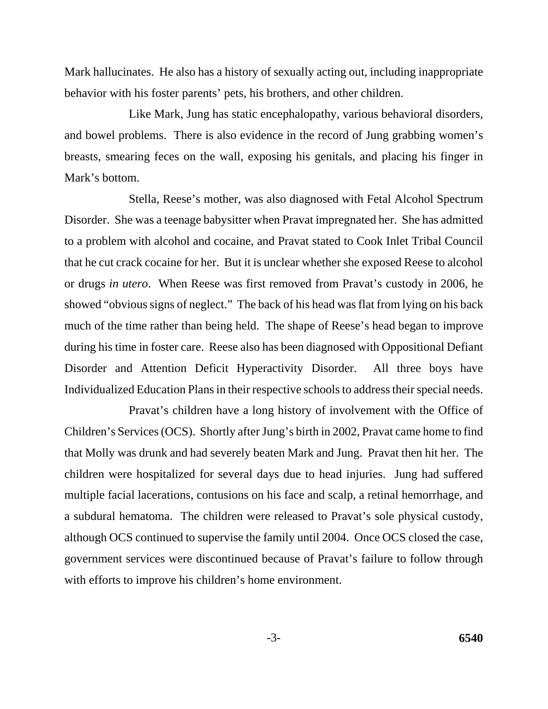Mark hallucinates. He also has a history of sexually acting out, including inappropriate behavior with his foster parents' pets, his brothers, and other children.

Like Mark, Jung has static encephalopathy, various behavioral disorders, and bowel problems. There is also evidence in the record of Jung grabbing women's breasts, smearing feces on the wall, exposing his genitals, and placing his finger in Mark's bottom.

Stella, Reese's mother, was also diagnosed with Fetal Alcohol Spectrum Disorder. She was a teenage babysitter when Pravat impregnated her. She has admitted to a problem with alcohol and cocaine, and Pravat stated to Cook Inlet Tribal Council that he cut crack cocaine for her. But it is unclear whether she exposed Reese to alcohol or drugs *in utero*. When Reese was first removed from Pravat's custody in 2006, he showed "obvious signs of neglect." The back of his head was flat from lying on his back much of the time rather than being held. The shape of Reese's head began to improve during his time in foster care. Reese also has been diagnosed with Oppositional Defiant Disorder and Attention Deficit Hyperactivity Disorder. All three boys have Individualized Education Plans in their respective schools to address their special needs.

Pravat's children have a long history of involvement with the Office of Children's Services (OCS). Shortly after Jung's birth in 2002, Pravat came home to find that Molly was drunk and had severely beaten Mark and Jung. Pravat then hit her. The children were hospitalized for several days due to head injuries. Jung had suffered multiple facial lacerations, contusions on his face and scalp, a retinal hemorrhage, and a subdural hematoma. The children were released to Pravat's sole physical custody, although OCS continued to supervise the family until 2004. Once OCS closed the case, government services were discontinued because of Pravat's failure to follow through with efforts to improve his children's home environment.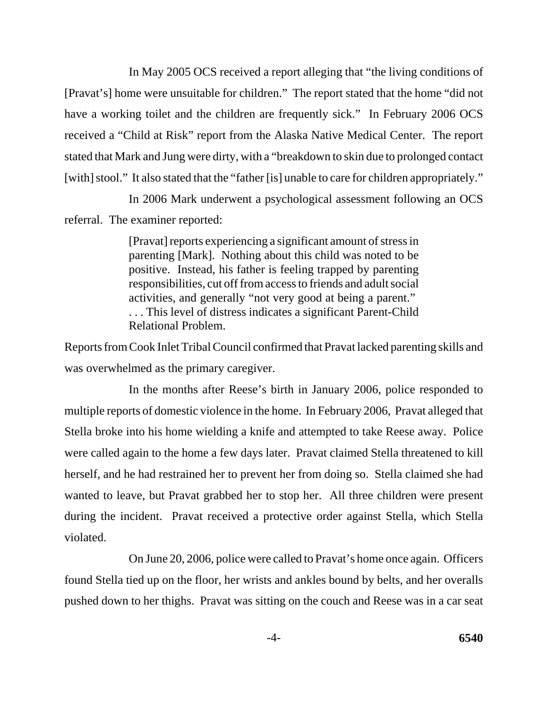In May 2005 OCS received a report alleging that "the living conditions of [Pravat's] home were unsuitable for children." The report stated that the home "did not have a working toilet and the children are frequently sick." In February 2006 OCS received a "Child at Risk" report from the Alaska Native Medical Center. The report stated that Mark and Jung were dirty, with a "breakdown to skin due to prolonged contact [with] stool." It also stated that the "father [is] unable to care for children appropriately."

In 2006 Mark underwent a psychological assessment following an OCS referral. The examiner reported:

> [Pravat] reports experiencing a significant amount of stress in parenting [Mark]. Nothing about this child was noted to be positive. Instead, his father is feeling trapped by parenting responsibilities, cut off from access to friends and adult social activities, and generally "not very good at being a parent." . . . This level of distress indicates a significant Parent-Child Relational Problem.

Reports from Cook Inlet Tribal Council confirmed that Pravat lacked parenting skills and was overwhelmed as the primary caregiver.

In the months after Reese's birth in January 2006, police responded to multiple reports of domestic violence in the home. In February 2006, Pravat alleged that Stella broke into his home wielding a knife and attempted to take Reese away. Police were called again to the home a few days later. Pravat claimed Stella threatened to kill herself, and he had restrained her to prevent her from doing so. Stella claimed she had wanted to leave, but Pravat grabbed her to stop her. All three children were present during the incident. Pravat received a protective order against Stella, which Stella violated.

On June 20, 2006, police were called to Pravat's home once again. Officers found Stella tied up on the floor, her wrists and ankles bound by belts, and her overalls pushed down to her thighs. Pravat was sitting on the couch and Reese was in a car seat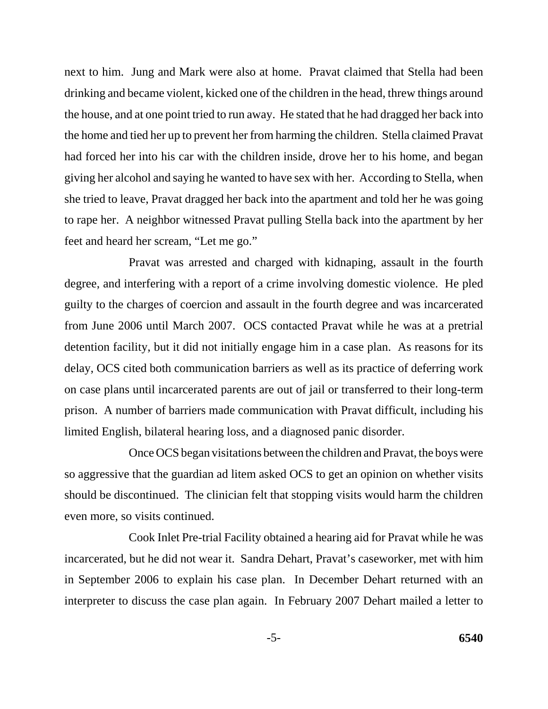next to him. Jung and Mark were also at home. Pravat claimed that Stella had been drinking and became violent, kicked one of the children in the head, threw things around the house, and at one point tried to run away. He stated that he had dragged her back into the home and tied her up to prevent her from harming the children. Stella claimed Pravat had forced her into his car with the children inside, drove her to his home, and began giving her alcohol and saying he wanted to have sex with her. According to Stella, when she tried to leave, Pravat dragged her back into the apartment and told her he was going to rape her. A neighbor witnessed Pravat pulling Stella back into the apartment by her feet and heard her scream, "Let me go."

Pravat was arrested and charged with kidnaping, assault in the fourth degree, and interfering with a report of a crime involving domestic violence. He pled guilty to the charges of coercion and assault in the fourth degree and was incarcerated from June 2006 until March 2007. OCS contacted Pravat while he was at a pretrial detention facility, but it did not initially engage him in a case plan. As reasons for its delay, OCS cited both communication barriers as well as its practice of deferring work on case plans until incarcerated parents are out of jail or transferred to their long-term prison. A number of barriers made communication with Pravat difficult, including his limited English, bilateral hearing loss, and a diagnosed panic disorder.

Once OCS began visitations between the children and Pravat, the boys were so aggressive that the guardian ad litem asked OCS to get an opinion on whether visits should be discontinued. The clinician felt that stopping visits would harm the children even more, so visits continued.

Cook Inlet Pre-trial Facility obtained a hearing aid for Pravat while he was incarcerated, but he did not wear it. Sandra Dehart, Pravat's caseworker, met with him in September 2006 to explain his case plan. In December Dehart returned with an interpreter to discuss the case plan again. In February 2007 Dehart mailed a letter to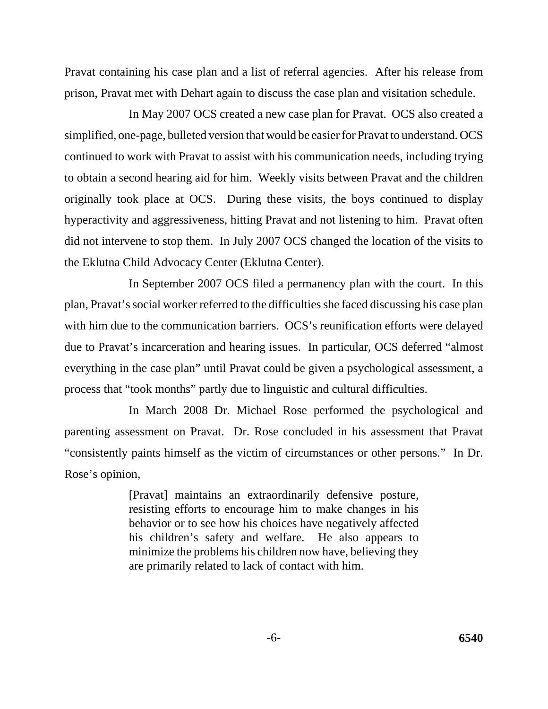Pravat containing his case plan and a list of referral agencies. After his release from prison, Pravat met with Dehart again to discuss the case plan and visitation schedule.

In May 2007 OCS created a new case plan for Pravat. OCS also created a simplified, one-page, bulleted version that would be easier for Pravat to understand. OCS continued to work with Pravat to assist with his communication needs, including trying to obtain a second hearing aid for him. Weekly visits between Pravat and the children originally took place at OCS. During these visits, the boys continued to display hyperactivity and aggressiveness, hitting Pravat and not listening to him. Pravat often did not intervene to stop them. In July 2007 OCS changed the location of the visits to the Eklutna Child Advocacy Center (Eklutna Center).

In September 2007 OCS filed a permanency plan with the court. In this plan, Pravat's social worker referred to the difficulties she faced discussing his case plan with him due to the communication barriers. OCS's reunification efforts were delayed due to Pravat's incarceration and hearing issues. In particular, OCS deferred "almost everything in the case plan" until Pravat could be given a psychological assessment, a process that "took months" partly due to linguistic and cultural difficulties.

In March 2008 Dr. Michael Rose performed the psychological and parenting assessment on Pravat. Dr. Rose concluded in his assessment that Pravat "consistently paints himself as the victim of circumstances or other persons." In Dr. Rose's opinion,

> [Pravat] maintains an extraordinarily defensive posture, resisting efforts to encourage him to make changes in his behavior or to see how his choices have negatively affected his children's safety and welfare. He also appears to minimize the problems his children now have, believing they are primarily related to lack of contact with him.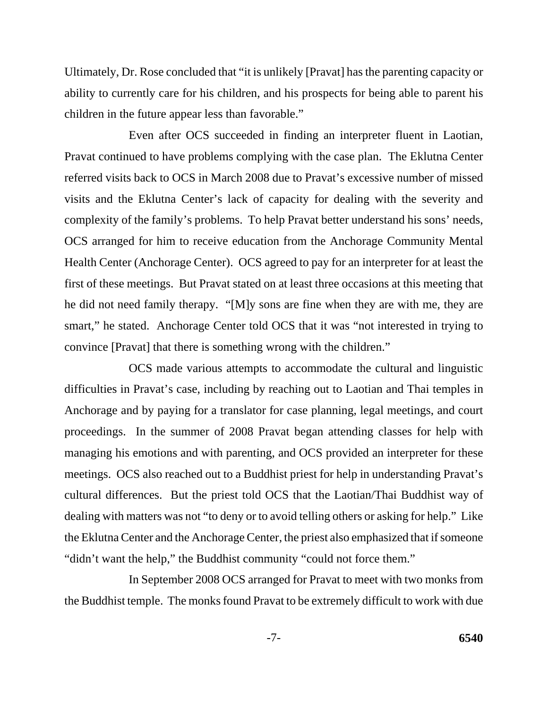Ultimately, Dr. Rose concluded that "it is unlikely [Pravat] has the parenting capacity or ability to currently care for his children, and his prospects for being able to parent his children in the future appear less than favorable."

Even after OCS succeeded in finding an interpreter fluent in Laotian, Pravat continued to have problems complying with the case plan. The Eklutna Center referred visits back to OCS in March 2008 due to Pravat's excessive number of missed visits and the Eklutna Center's lack of capacity for dealing with the severity and complexity of the family's problems. To help Pravat better understand his sons' needs, OCS arranged for him to receive education from the Anchorage Community Mental Health Center (Anchorage Center). OCS agreed to pay for an interpreter for at least the first of these meetings. But Pravat stated on at least three occasions at this meeting that he did not need family therapy. "[M]y sons are fine when they are with me, they are smart," he stated. Anchorage Center told OCS that it was "not interested in trying to convince [Pravat] that there is something wrong with the children."

OCS made various attempts to accommodate the cultural and linguistic difficulties in Pravat's case, including by reaching out to Laotian and Thai temples in Anchorage and by paying for a translator for case planning, legal meetings, and court proceedings. In the summer of 2008 Pravat began attending classes for help with managing his emotions and with parenting, and OCS provided an interpreter for these meetings. OCS also reached out to a Buddhist priest for help in understanding Pravat's cultural differences. But the priest told OCS that the Laotian/Thai Buddhist way of dealing with matters was not "to deny or to avoid telling others or asking for help." Like the Eklutna Center and the Anchorage Center, the priest also emphasized that if someone "didn't want the help," the Buddhist community "could not force them."

In September 2008 OCS arranged for Pravat to meet with two monks from the Buddhist temple. The monks found Pravat to be extremely difficult to work with due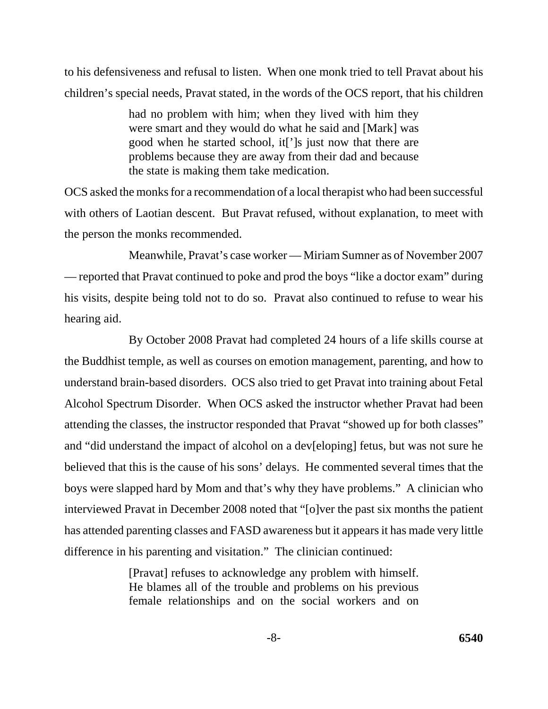to his defensiveness and refusal to listen. When one monk tried to tell Pravat about his children's special needs, Pravat stated, in the words of the OCS report, that his children

> had no problem with him; when they lived with him they were smart and they would do what he said and [Mark] was good when he started school, it[']s just now that there are problems because they are away from their dad and because the state is making them take medication.

OCS asked the monks for a recommendation of a local therapist who had been successful with others of Laotian descent. But Pravat refused, without explanation, to meet with the person the monks recommended.

Meanwhile, Pravat's case worker — Miriam Sumner as of November 2007 — reported that Pravat continued to poke and prod the boys "like a doctor exam" during his visits, despite being told not to do so. Pravat also continued to refuse to wear his hearing aid.

By October 2008 Pravat had completed 24 hours of a life skills course at the Buddhist temple, as well as courses on emotion management, parenting, and how to understand brain-based disorders. OCS also tried to get Pravat into training about Fetal Alcohol Spectrum Disorder. When OCS asked the instructor whether Pravat had been attending the classes, the instructor responded that Pravat "showed up for both classes" and "did understand the impact of alcohol on a dev[eloping] fetus, but was not sure he believed that this is the cause of his sons' delays. He commented several times that the boys were slapped hard by Mom and that's why they have problems." A clinician who interviewed Pravat in December 2008 noted that "[o]ver the past six months the patient has attended parenting classes and FASD awareness but it appears it has made very little difference in his parenting and visitation." The clinician continued:

> [Pravat] refuses to acknowledge any problem with himself. He blames all of the trouble and problems on his previous female relationships and on the social workers and on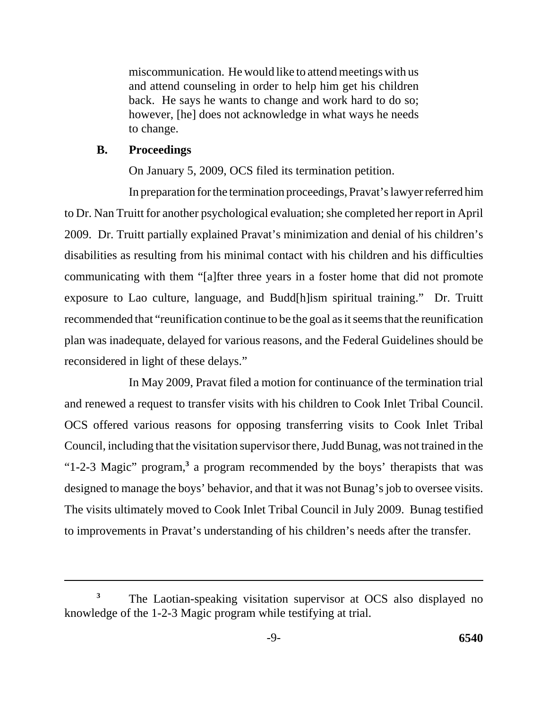miscommunication. He would like to attend meetings with us and attend counseling in order to help him get his children back. He says he wants to change and work hard to do so; however, [he] does not acknowledge in what ways he needs to change.

## **B. Proceedings**

On January 5, 2009, OCS filed its termination petition.

In preparation for the termination proceedings, Pravat's lawyer referred him to Dr. Nan Truitt for another psychological evaluation; she completed her report in April 2009. Dr. Truitt partially explained Pravat's minimization and denial of his children's disabilities as resulting from his minimal contact with his children and his difficulties communicating with them "[a]fter three years in a foster home that did not promote exposure to Lao culture, language, and Budd[h]ism spiritual training." Dr. Truitt recommended that "reunification continue to be the goal as it seems that the reunification plan was inadequate, delayed for various reasons, and the Federal Guidelines should be reconsidered in light of these delays."

In May 2009, Pravat filed a motion for continuance of the termination trial and renewed a request to transfer visits with his children to Cook Inlet Tribal Council. OCS offered various reasons for opposing transferring visits to Cook Inlet Tribal Council, including that the visitation supervisor there, Judd Bunag, was not trained in the "1-2-3 Magic" program,**<sup>3</sup>** a program recommended by the boys' therapists that was designed to manage the boys' behavior, and that it was not Bunag's job to oversee visits. The visits ultimately moved to Cook Inlet Tribal Council in July 2009. Bunag testified to improvements in Pravat's understanding of his children's needs after the transfer.

The Laotian-speaking visitation supervisor at OCS also displayed no knowledge of the 1-2-3 Magic program while testifying at trial. **3**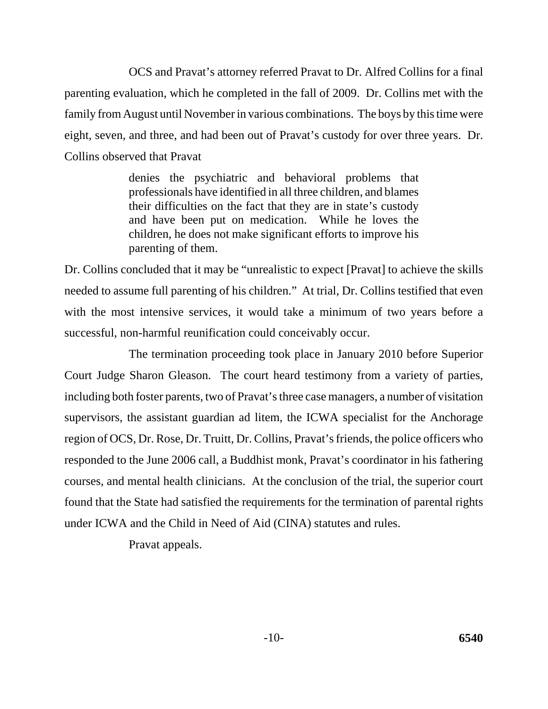OCS and Pravat's attorney referred Pravat to Dr. Alfred Collins for a final parenting evaluation, which he completed in the fall of 2009. Dr. Collins met with the family from August until November in various combinations. The boys by this time were eight, seven, and three, and had been out of Pravat's custody for over three years. Dr. Collins observed that Pravat

> denies the psychiatric and behavioral problems that professionals have identified in all three children, and blames their difficulties on the fact that they are in state's custody and have been put on medication. While he loves the children, he does not make significant efforts to improve his parenting of them.

Dr. Collins concluded that it may be "unrealistic to expect [Pravat] to achieve the skills needed to assume full parenting of his children." At trial, Dr. Collins testified that even with the most intensive services, it would take a minimum of two years before a successful, non-harmful reunification could conceivably occur.

The termination proceeding took place in January 2010 before Superior Court Judge Sharon Gleason. The court heard testimony from a variety of parties, including both foster parents, two of Pravat's three case managers, a number of visitation supervisors, the assistant guardian ad litem, the ICWA specialist for the Anchorage region of OCS, Dr. Rose, Dr. Truitt, Dr. Collins, Pravat's friends, the police officers who responded to the June 2006 call, a Buddhist monk, Pravat's coordinator in his fathering courses, and mental health clinicians. At the conclusion of the trial, the superior court found that the State had satisfied the requirements for the termination of parental rights under ICWA and the Child in Need of Aid (CINA) statutes and rules.

Pravat appeals.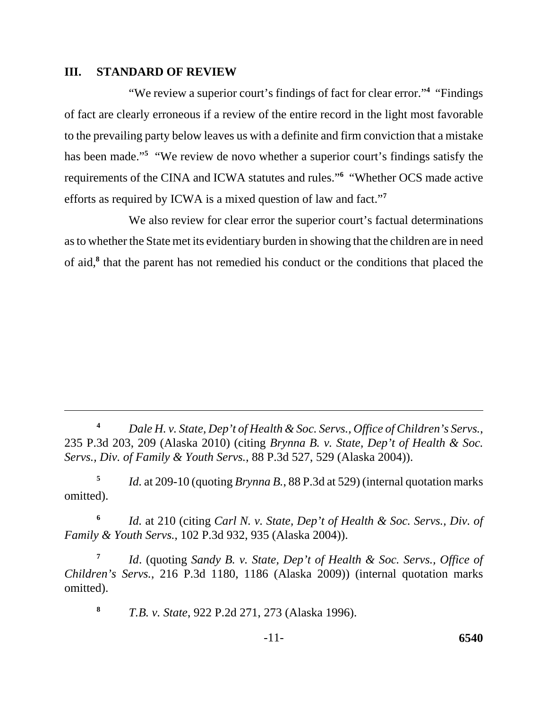### **III. STANDARD OF REVIEW**

 efforts as required by ICWA is a mixed question of law and fact."**<sup>7</sup>** "We review a superior court's findings of fact for clear error."**<sup>4</sup>** "Findings of fact are clearly erroneous if a review of the entire record in the light most favorable to the prevailing party below leaves us with a definite and firm conviction that a mistake has been made."<sup>5</sup> "We review de novo whether a superior court's findings satisfy the requirements of the CINA and ICWA statutes and rules."**<sup>6</sup>** "Whether OCS made active

We also review for clear error the superior court's factual determinations as to whether the State met its evidentiary burden in showing that the children are in need of aid,**<sup>8</sup>** that the parent has not remedied his conduct or the conditions that placed the

**<sup>5</sup>***Id.* at 209-10 (quoting *Brynna B.*, 88 P.3d at 529) (internal quotation marks omitted).

**<sup>6</sup>***Id.* at 210 (citing *Carl N. v. State, Dep't of Health & Soc. Servs., Div. of Family & Youth Servs.*, 102 P.3d 932, 935 (Alaska 2004)).

**<sup>7</sup>***Id*. (quoting *Sandy B. v. State, Dep't of Health & Soc. Servs., Office of Children's Servs.*, 216 P.3d 1180, 1186 (Alaska 2009)) (internal quotation marks omitted).

**<sup>8</sup>***T.B. v. State*, 922 P.2d 271, 273 (Alaska 1996).

**<sup>4</sup>***Dale H. v. State, Dep't of Health & Soc. Servs., Office of Children's Servs.*, 235 P.3d 203, 209 (Alaska 2010) (citing *Brynna B. v. State, Dep't of Health & Soc. Servs., Div. of Family & Youth Servs.*, 88 P.3d 527, 529 (Alaska 2004)).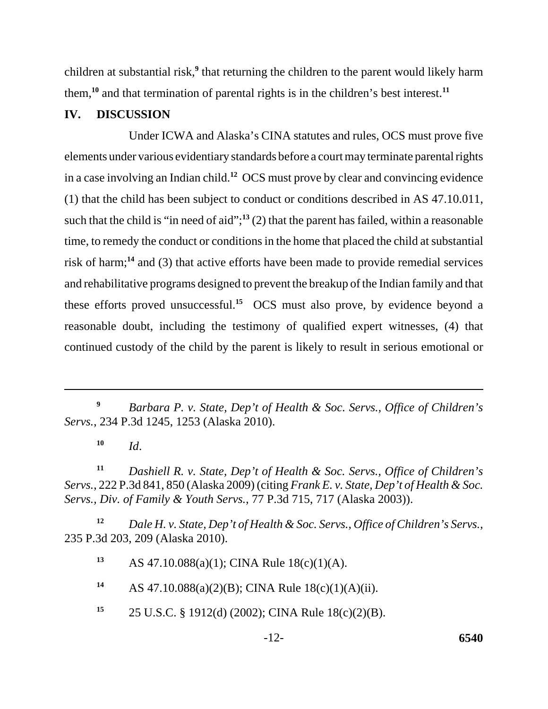children at substantial risk,<sup>9</sup> that returning the children to the parent would likely harm them,**<sup>10</sup>** and that termination of parental rights is in the children's best interest.**<sup>11</sup>**

## **IV. DISCUSSION**

Under ICWA and Alaska's CINA statutes and rules, OCS must prove five elements under various evidentiary standards before a court may terminate parental rights in a case involving an Indian child.**<sup>12</sup>** OCS must prove by clear and convincing evidence (1) that the child has been subject to conduct or conditions described in AS 47.10.011, such that the child is "in need of aid";**<sup>13</sup>** (2) that the parent has failed, within a reasonable time, to remedy the conduct or conditions in the home that placed the child at substantial risk of harm;**<sup>14</sup>** and (3) that active efforts have been made to provide remedial services and rehabilitative programs designed to prevent the breakup of the Indian family and that these efforts proved unsuccessful.**<sup>15</sup>** OCS must also prove, by evidence beyond a reasonable doubt, including the testimony of qualified expert witnesses, (4) that continued custody of the child by the parent is likely to result in serious emotional or

 $10$  *Id.* 

**<sup>11</sup>***Dashiell R. v. State, Dep't of Health & Soc. Servs., Office of Children's Servs.*, 222 P.3d 841, 850 (Alaska 2009) (citing *Frank E. v. State, Dep't of Health & Soc. Servs., Div. of Family & Youth Servs.*, 77 P.3d 715, 717 (Alaska 2003)).

**<sup>12</sup>***Dale H. v. State, Dep't of Health & Soc. Servs., Office of Children's Servs.*, 235 P.3d 203, 209 (Alaska 2010).

**<sup>13</sup>**AS 47.10.088(a)(1); CINA Rule 18(c)(1)(A).

**<sup>14</sup>**AS 47.10.088(a)(2)(B); CINA Rule 18(c)(1)(A)(ii).

**<sup>15</sup>**25 U.S.C. § 1912(d) (2002); CINA Rule 18(c)(2)(B).

**<sup>9</sup>***Barbara P. v. State, Dep't of Health & Soc. Servs., Office of Children's Servs.*, 234 P.3d 1245, 1253 (Alaska 2010).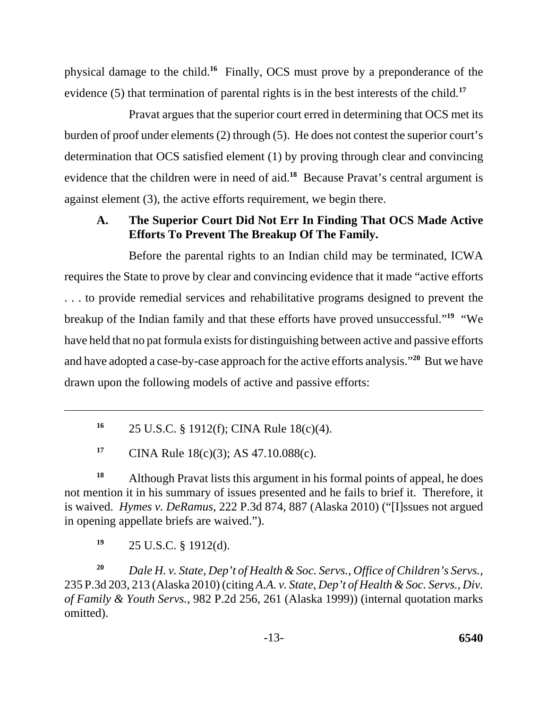physical damage to the child.**<sup>16</sup>** Finally, OCS must prove by a preponderance of the evidence (5) that termination of parental rights is in the best interests of the child.**<sup>17</sup>**

Pravat argues that the superior court erred in determining that OCS met its burden of proof under elements (2) through (5). He does not contest the superior court's determination that OCS satisfied element (1) by proving through clear and convincing evidence that the children were in need of aid.**<sup>18</sup>** Because Pravat's central argument is against element (3), the active efforts requirement, we begin there.

# **A. The Superior Court Did Not Err In Finding That OCS Made Active Efforts To Prevent The Breakup Of The Family.**

Before the parental rights to an Indian child may be terminated, ICWA requires the State to prove by clear and convincing evidence that it made "active efforts . . . to provide remedial services and rehabilitative programs designed to prevent the breakup of the Indian family and that these efforts have proved unsuccessful."**<sup>19</sup>** "We have held that no pat formula exists for distinguishing between active and passive efforts and have adopted a case-by-case approach for the active efforts analysis."**<sup>20</sup>** But we have drawn upon the following models of active and passive efforts:

**<sup>16</sup>**25 U.S.C. § 1912(f); CINA Rule 18(c)(4).

<sup>17</sup> CINA Rule 18(c)(3); AS 47.10.088(c).

<sup>18</sup> Although Pravat lists this argument in his formal points of appeal, he does not mention it in his summary of issues presented and he fails to brief it. Therefore, it is waived. *Hymes v. DeRamus*, 222 P.3d 874, 887 (Alaska 2010) ("[I]ssues not argued in opening appellate briefs are waived.").

**<sup>19</sup>**25 U.S.C. § 1912(d).

**<sup>20</sup>***Dale H. v. State, Dep't of Health & Soc. Servs., Office of Children's Servs.*, 235 P.3d 203, 213 (Alaska 2010) (citing *A.A. v. State, Dep't of Health & Soc. Servs., Div. of Family & Youth Servs.*, 982 P.2d 256, 261 (Alaska 1999)) (internal quotation marks omitted).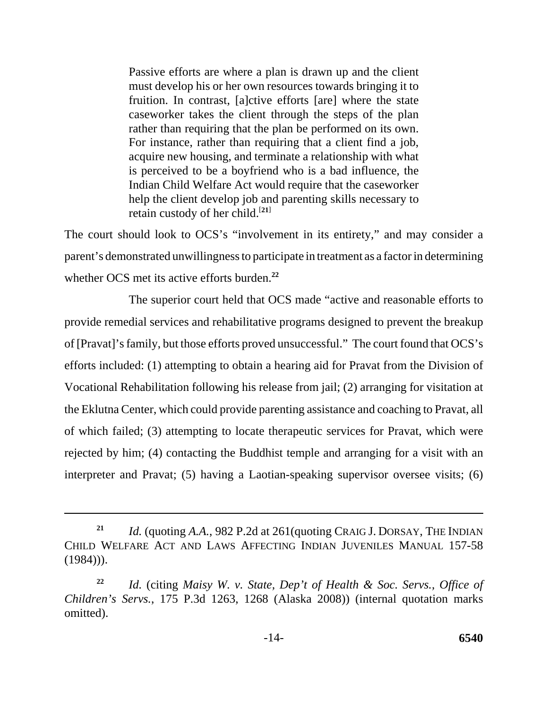Passive efforts are where a plan is drawn up and the client must develop his or her own resources towards bringing it to fruition. In contrast, [a]ctive efforts [are] where the state caseworker takes the client through the steps of the plan rather than requiring that the plan be performed on its own. For instance, rather than requiring that a client find a job, acquire new housing, and terminate a relationship with what is perceived to be a boyfriend who is a bad influence, the Indian Child Welfare Act would require that the caseworker help the client develop job and parenting skills necessary to retain custody of her child.[**21**]

The court should look to OCS's "involvement in its entirety," and may consider a parent's demonstrated unwillingness to participate in treatment as a factor in determining whether OCS met its active efforts burden.**<sup>22</sup>**

The superior court held that OCS made "active and reasonable efforts to provide remedial services and rehabilitative programs designed to prevent the breakup of [Pravat]'s family, but those efforts proved unsuccessful." The court found that OCS's efforts included: (1) attempting to obtain a hearing aid for Pravat from the Division of Vocational Rehabilitation following his release from jail; (2) arranging for visitation at the Eklutna Center, which could provide parenting assistance and coaching to Pravat, all of which failed; (3) attempting to locate therapeutic services for Pravat, which were rejected by him; (4) contacting the Buddhist temple and arranging for a visit with an interpreter and Pravat; (5) having a Laotian-speaking supervisor oversee visits; (6)

**<sup>21</sup>***Id.* (quoting *A.A.*, 982 P.2d at 261(quoting CRAIG J. DORSAY, THE INDIAN CHILD WELFARE ACT AND LAWS AFFECTING INDIAN JUVENILES MANUAL 157-58  $(1984))$ .

**<sup>22</sup>***Id.* (citing *Maisy W. v. State, Dep't of Health & Soc. Servs., Office of Children's Servs.*, 175 P.3d 1263, 1268 (Alaska 2008)) (internal quotation marks omitted).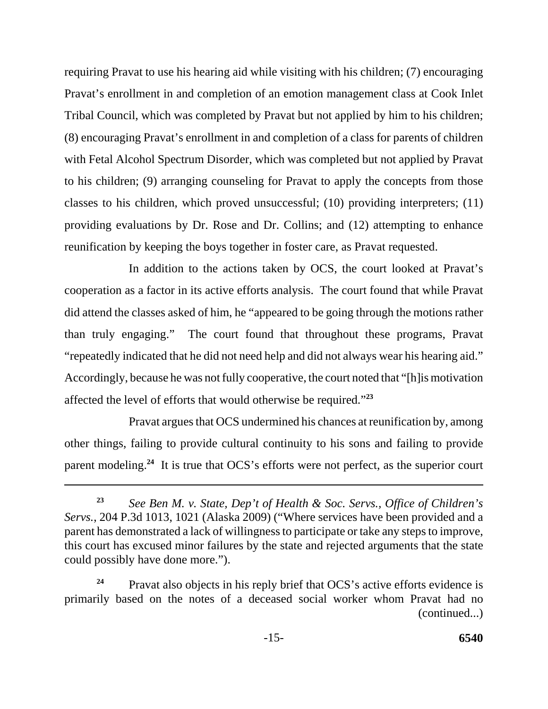requiring Pravat to use his hearing aid while visiting with his children; (7) encouraging Pravat's enrollment in and completion of an emotion management class at Cook Inlet Tribal Council, which was completed by Pravat but not applied by him to his children; (8) encouraging Pravat's enrollment in and completion of a class for parents of children with Fetal Alcohol Spectrum Disorder, which was completed but not applied by Pravat to his children; (9) arranging counseling for Pravat to apply the concepts from those classes to his children, which proved unsuccessful; (10) providing interpreters; (11) providing evaluations by Dr. Rose and Dr. Collins; and (12) attempting to enhance reunification by keeping the boys together in foster care, as Pravat requested.

In addition to the actions taken by OCS, the court looked at Pravat's cooperation as a factor in its active efforts analysis. The court found that while Pravat did attend the classes asked of him, he "appeared to be going through the motions rather than truly engaging." The court found that throughout these programs, Pravat "repeatedly indicated that he did not need help and did not always wear his hearing aid." Accordingly, because he was not fully cooperative, the court noted that "[h]is motivation affected the level of efforts that would otherwise be required."**<sup>23</sup>**

Pravat argues that OCS undermined his chances at reunification by, among other things, failing to provide cultural continuity to his sons and failing to provide parent modeling.**<sup>24</sup>** It is true that OCS's efforts were not perfect, as the superior court

**<sup>23</sup>***See Ben M. v. State, Dep't of Health & Soc. Servs., Office of Children's Servs.*, 204 P.3d 1013, 1021 (Alaska 2009) ("Where services have been provided and a parent has demonstrated a lack of willingness to participate or take any steps to improve, this court has excused minor failures by the state and rejected arguments that the state could possibly have done more.").

Pravat also objects in his reply brief that OCS's active efforts evidence is primarily based on the notes of a deceased social worker whom Pravat had no (continued...) **24**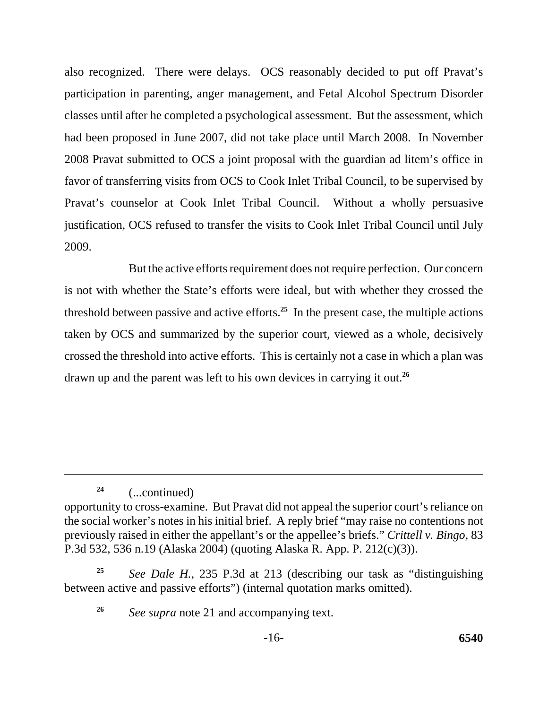also recognized. There were delays. OCS reasonably decided to put off Pravat's participation in parenting, anger management, and Fetal Alcohol Spectrum Disorder classes until after he completed a psychological assessment. But the assessment, which had been proposed in June 2007, did not take place until March 2008. In November 2008 Pravat submitted to OCS a joint proposal with the guardian ad litem's office in favor of transferring visits from OCS to Cook Inlet Tribal Council, to be supervised by Pravat's counselor at Cook Inlet Tribal Council. Without a wholly persuasive justification, OCS refused to transfer the visits to Cook Inlet Tribal Council until July 2009.

 drawn up and the parent was left to his own devices in carrying it out.**<sup>26</sup>** But the active efforts requirement does not require perfection. Our concern is not with whether the State's efforts were ideal, but with whether they crossed the threshold between passive and active efforts.**<sup>25</sup>** In the present case, the multiple actions taken by OCS and summarized by the superior court, viewed as a whole, decisively crossed the threshold into active efforts. This is certainly not a case in which a plan was

**<sup>24</sup>**(...continued)

opportunity to cross-examine. But Pravat did not appeal the superior court's reliance on the social worker's notes in his initial brief. A reply brief "may raise no contentions not previously raised in either the appellant's or the appellee's briefs." *Crittell v. Bingo*, 83 P.3d 532, 536 n.19 (Alaska 2004) (quoting Alaska R. App. P. 212(c)(3)).

**<sup>25</sup>***See Dale H.*, 235 P.3d at 213 (describing our task as "distinguishing between active and passive efforts") (internal quotation marks omitted).

**<sup>26</sup>***See supra* note 21 and accompanying text.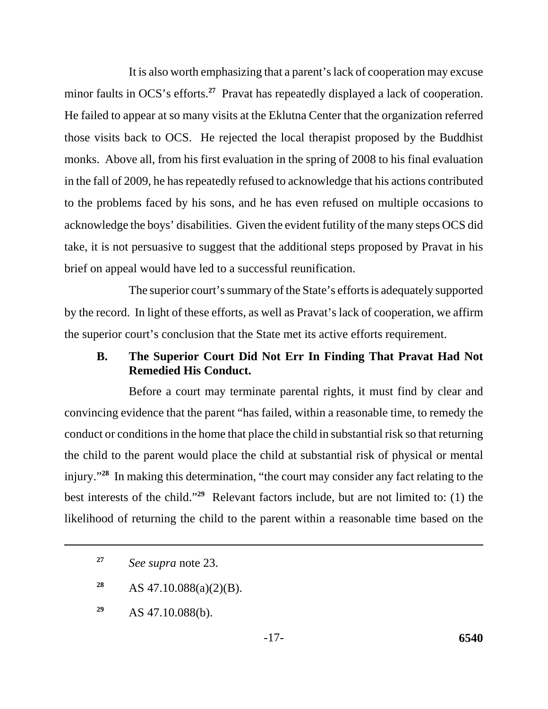It is also worth emphasizing that a parent's lack of cooperation may excuse minor faults in OCS's efforts.**<sup>27</sup>** Pravat has repeatedly displayed a lack of cooperation. He failed to appear at so many visits at the Eklutna Center that the organization referred those visits back to OCS. He rejected the local therapist proposed by the Buddhist monks. Above all, from his first evaluation in the spring of 2008 to his final evaluation in the fall of 2009, he has repeatedly refused to acknowledge that his actions contributed to the problems faced by his sons, and he has even refused on multiple occasions to acknowledge the boys' disabilities. Given the evident futility of the many steps OCS did take, it is not persuasive to suggest that the additional steps proposed by Pravat in his brief on appeal would have led to a successful reunification.

The superior court's summary of the State's efforts is adequately supported by the record. In light of these efforts, as well as Pravat's lack of cooperation, we affirm the superior court's conclusion that the State met its active efforts requirement.

## **B. The Superior Court Did Not Err In Finding That Pravat Had Not Remedied His Conduct.**

Before a court may terminate parental rights, it must find by clear and convincing evidence that the parent "has failed, within a reasonable time, to remedy the conduct or conditions in the home that place the child in substantial risk so that returning the child to the parent would place the child at substantial risk of physical or mental injury."**<sup>28</sup>** In making this determination, "the court may consider any fact relating to the best interests of the child."**<sup>29</sup>** Relevant factors include, but are not limited to: (1) the likelihood of returning the child to the parent within a reasonable time based on the

**<sup>29</sup>**AS 47.10.088(b).

**<sup>27</sup>***See supra* note 23.

**<sup>28</sup>** AS 47.10.088(a)(2)(B).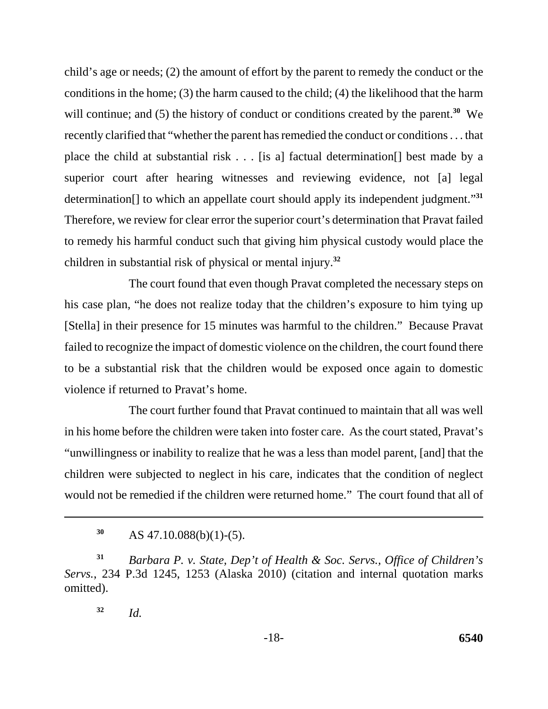child's age or needs; (2) the amount of effort by the parent to remedy the conduct or the conditions in the home; (3) the harm caused to the child; (4) the likelihood that the harm will continue; and (5) the history of conduct or conditions created by the parent.<sup>30</sup> We recently clarified that "whether the parent has remedied the conduct or conditions . . . that place the child at substantial risk . . . [is a] factual determination[] best made by a superior court after hearing witnesses and reviewing evidence, not [a] legal determination[] to which an appellate court should apply its independent judgment."**<sup>31</sup>** Therefore, we review for clear error the superior court's determination that Pravat failed to remedy his harmful conduct such that giving him physical custody would place the children in substantial risk of physical or mental injury.**<sup>32</sup>**

The court found that even though Pravat completed the necessary steps on his case plan, "he does not realize today that the children's exposure to him tying up [Stella] in their presence for 15 minutes was harmful to the children." Because Pravat failed to recognize the impact of domestic violence on the children, the court found there to be a substantial risk that the children would be exposed once again to domestic violence if returned to Pravat's home.

The court further found that Pravat continued to maintain that all was well in his home before the children were taken into foster care. As the court stated, Pravat's "unwillingness or inability to realize that he was a less than model parent, [and] that the children were subjected to neglect in his care, indicates that the condition of neglect would not be remedied if the children were returned home." The court found that all of

**<sup>30</sup>**AS 47.10.088(b)(1)-(5).

**<sup>31</sup>***Barbara P. v. State, Dep't of Health & Soc. Servs., Office of Children's Servs.*, 234 P.3d 1245, 1253 (Alaska 2010) (citation and internal quotation marks omitted).

**<sup>32</sup>***Id.*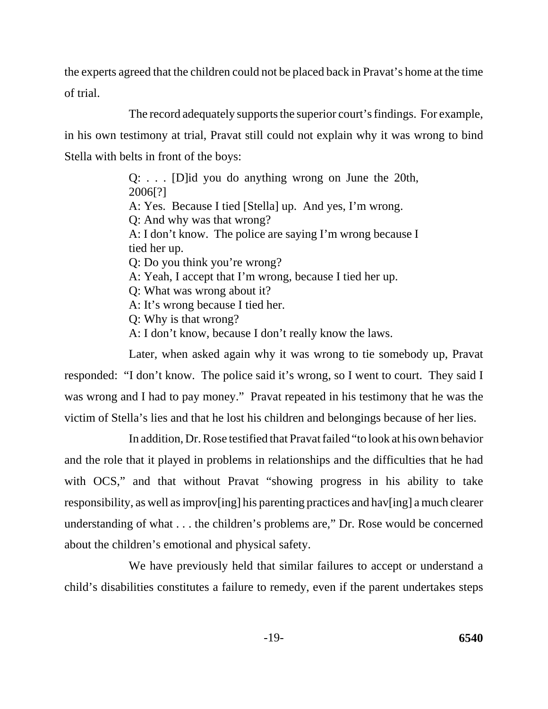the experts agreed that the children could not be placed back in Pravat's home at the time of trial.

The record adequately supports the superior court's findings. For example, in his own testimony at trial, Pravat still could not explain why it was wrong to bind Stella with belts in front of the boys:

> Q: . . . [D]id you do anything wrong on June the 20th, 2006[?] A: Yes. Because I tied [Stella] up. And yes, I'm wrong. Q: And why was that wrong? A: I don't know. The police are saying I'm wrong because I tied her up. Q: Do you think you're wrong? A: Yeah, I accept that I'm wrong, because I tied her up. Q: What was wrong about it? A: It's wrong because I tied her. Q: Why is that wrong? A: I don't know, because I don't really know the laws.

Later, when asked again why it was wrong to tie somebody up, Pravat responded: "I don't know. The police said it's wrong, so I went to court. They said I was wrong and I had to pay money." Pravat repeated in his testimony that he was the victim of Stella's lies and that he lost his children and belongings because of her lies.

In addition, Dr. Rose testified that Pravat failed "to look at his own behavior and the role that it played in problems in relationships and the difficulties that he had with OCS," and that without Pravat "showing progress in his ability to take responsibility, as well as improv[ing] his parenting practices and hav[ing] a much clearer understanding of what . . . the children's problems are," Dr. Rose would be concerned about the children's emotional and physical safety.

We have previously held that similar failures to accept or understand a child's disabilities constitutes a failure to remedy, even if the parent undertakes steps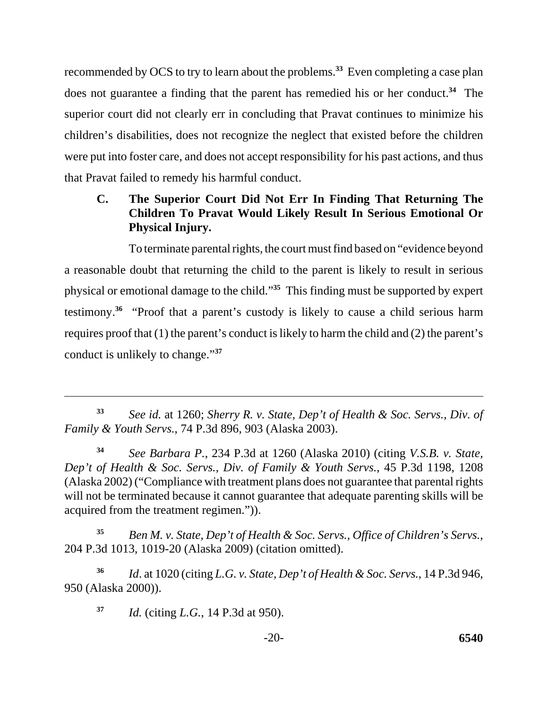recommended by OCS to try to learn about the problems.**<sup>33</sup>** Even completing a case plan does not guarantee a finding that the parent has remedied his or her conduct.**<sup>34</sup>** The superior court did not clearly err in concluding that Pravat continues to minimize his children's disabilities, does not recognize the neglect that existed before the children were put into foster care, and does not accept responsibility for his past actions, and thus that Pravat failed to remedy his harmful conduct.

# **C. The Superior Court Did Not Err In Finding That Returning The Children To Pravat Would Likely Result In Serious Emotional Or Physical Injury.**

To terminate parental rights, the court must find based on "evidence beyond a reasonable doubt that returning the child to the parent is likely to result in serious physical or emotional damage to the child."**<sup>35</sup>** This finding must be supported by expert testimony.**<sup>36</sup>** "Proof that a parent's custody is likely to cause a child serious harm requires proof that (1) the parent's conduct is likely to harm the child and (2) the parent's conduct is unlikely to change."**<sup>37</sup>**

**<sup>35</sup>***Ben M. v. State, Dep't of Health & Soc. Servs., Office of Children's Servs.*, 204 P.3d 1013, 1019-20 (Alaska 2009) (citation omitted).

**<sup>36</sup>***Id*. at 1020 (citing *L.G. v. State, Dep't of Health & Soc. Servs.*, 14 P.3d 946, 950 (Alaska 2000)).

**<sup>37</sup>***Id.* (citing *L.G.*, 14 P.3d at 950).

**<sup>33</sup>***See id.* at 1260; *Sherry R. v. State, Dep't of Health & Soc. Servs., Div. of Family & Youth Servs.*, 74 P.3d 896, 903 (Alaska 2003).

**<sup>34</sup>***See Barbara P.*, 234 P.3d at 1260 (Alaska 2010) (citing *V.S.B. v. State, Dep't of Health & Soc. Servs.*, *Div. of Family & Youth Servs.*, 45 P.3d 1198, 1208 (Alaska 2002) ("Compliance with treatment plans does not guarantee that parental rights will not be terminated because it cannot guarantee that adequate parenting skills will be acquired from the treatment regimen.")).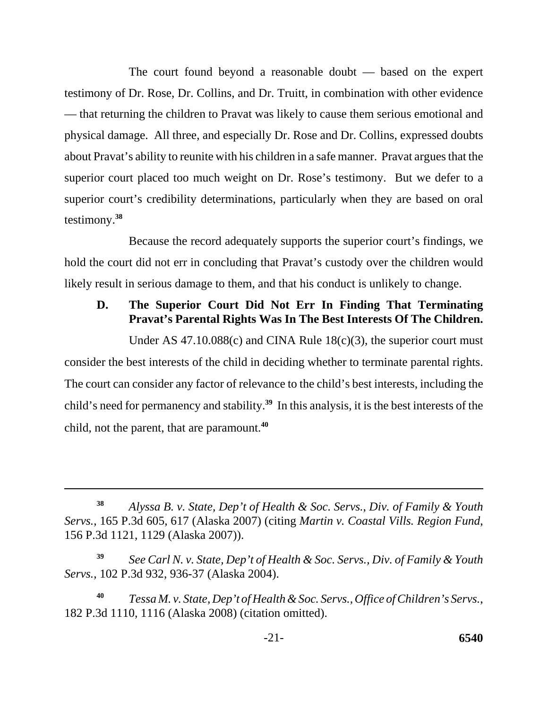The court found beyond a reasonable doubt — based on the expert testimony of Dr. Rose, Dr. Collins, and Dr. Truitt, in combination with other evidence — that returning the children to Pravat was likely to cause them serious emotional and physical damage. All three, and especially Dr. Rose and Dr. Collins, expressed doubts about Pravat's ability to reunite with his children in a safe manner. Pravat argues that the superior court placed too much weight on Dr. Rose's testimony. But we defer to a superior court's credibility determinations, particularly when they are based on oral testimony.**<sup>38</sup>**

Because the record adequately supports the superior court's findings, we hold the court did not err in concluding that Pravat's custody over the children would likely result in serious damage to them, and that his conduct is unlikely to change.

# **D. The Superior Court Did Not Err In Finding That Terminating Pravat's Parental Rights Was In The Best Interests Of The Children.**

Under AS 47.10.088 $(c)$  and CINA Rule 18 $(c)(3)$ , the superior court must consider the best interests of the child in deciding whether to terminate parental rights. The court can consider any factor of relevance to the child's best interests, including the child's need for permanency and stability.**<sup>39</sup>** In this analysis, it is the best interests of the child, not the parent, that are paramount.**<sup>40</sup>**

**<sup>38</sup>***Alyssa B. v. State, Dep't of Health & Soc. Servs.*, *Div. of Family & Youth Servs.*, 165 P.3d 605, 617 (Alaska 2007) (citing *Martin v. Coastal Vills. Region Fund*, 156 P.3d 1121, 1129 (Alaska 2007)).

**<sup>39</sup>***See Carl N. v. State, Dep't of Health & Soc. Servs., Div. of Family & Youth Servs.*, 102 P.3d 932, 936-37 (Alaska 2004).

**<sup>40</sup>***Tessa M. v. State, Dep't of Health & Soc. Servs., Office of Children's Servs.*, 182 P.3d 1110, 1116 (Alaska 2008) (citation omitted).